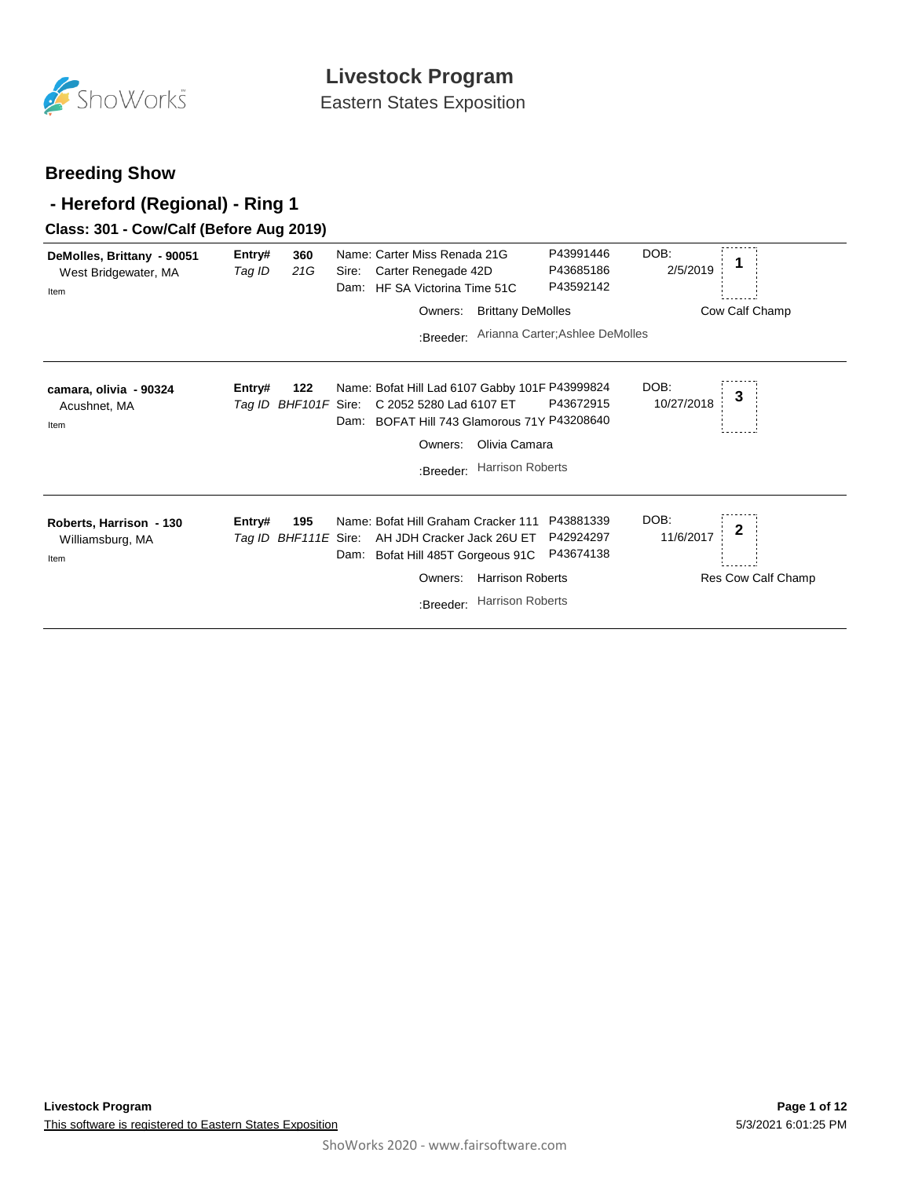

Eastern States Exposition

### **Breeding Show**

### **- Hereford (Regional) - Ring 1**

### **Class: 301 - Cow/Calf (Before Aug 2019)**

| DeMolles, Brittany - 90051<br>West Bridgewater, MA<br>Item | Entry#<br>Tag ID | 360<br>21G                  | Name: Carter Miss Renada 21G<br>Carter Renegade 42D<br>Sire:<br>HF SA Victorina Time 51C<br>Dam:          |                                                                                                                  | P43991446<br>P43685186<br>P43592142 | DOB:<br>1<br>2/5/2019                                   |
|------------------------------------------------------------|------------------|-----------------------------|-----------------------------------------------------------------------------------------------------------|------------------------------------------------------------------------------------------------------------------|-------------------------------------|---------------------------------------------------------|
|                                                            |                  |                             | Owners:<br>:Breeder:                                                                                      | <b>Brittany DeMolles</b>                                                                                         | Arianna Carter; Ashlee DeMolles     | Cow Calf Champ                                          |
| camara, olivia - 90324<br>Acushnet, MA<br>Item             | Entry#           | 122<br>Tag ID BHF101F Sire: | Name: Bofat Hill Lad 6107 Gabby 101F P43999824<br>C 2052 5280 Lad 6107 ET<br>Dam:<br>Owners:<br>:Breeder: | BOFAT Hill 743 Glamorous 71Y P43208640<br>Olivia Camara<br><b>Harrison Roberts</b>                               | P43672915                           | DOB:<br>3<br>10/27/2018                                 |
| Roberts, Harrison - 130<br>Williamsburg, MA<br>Item        | Entry#           | 195<br>Tag ID BHF111E Sire: | Name: Bofat Hill Graham Cracker 111<br>Dam:<br>Owners:<br>:Breeder:                                       | AH JDH Cracker Jack 26U ET<br>Bofat Hill 485T Gorgeous 91C<br><b>Harrison Roberts</b><br><b>Harrison Roberts</b> | P43881339<br>P42924297<br>P43674138 | DOB:<br>$\mathbf{2}$<br>11/6/2017<br>Res Cow Calf Champ |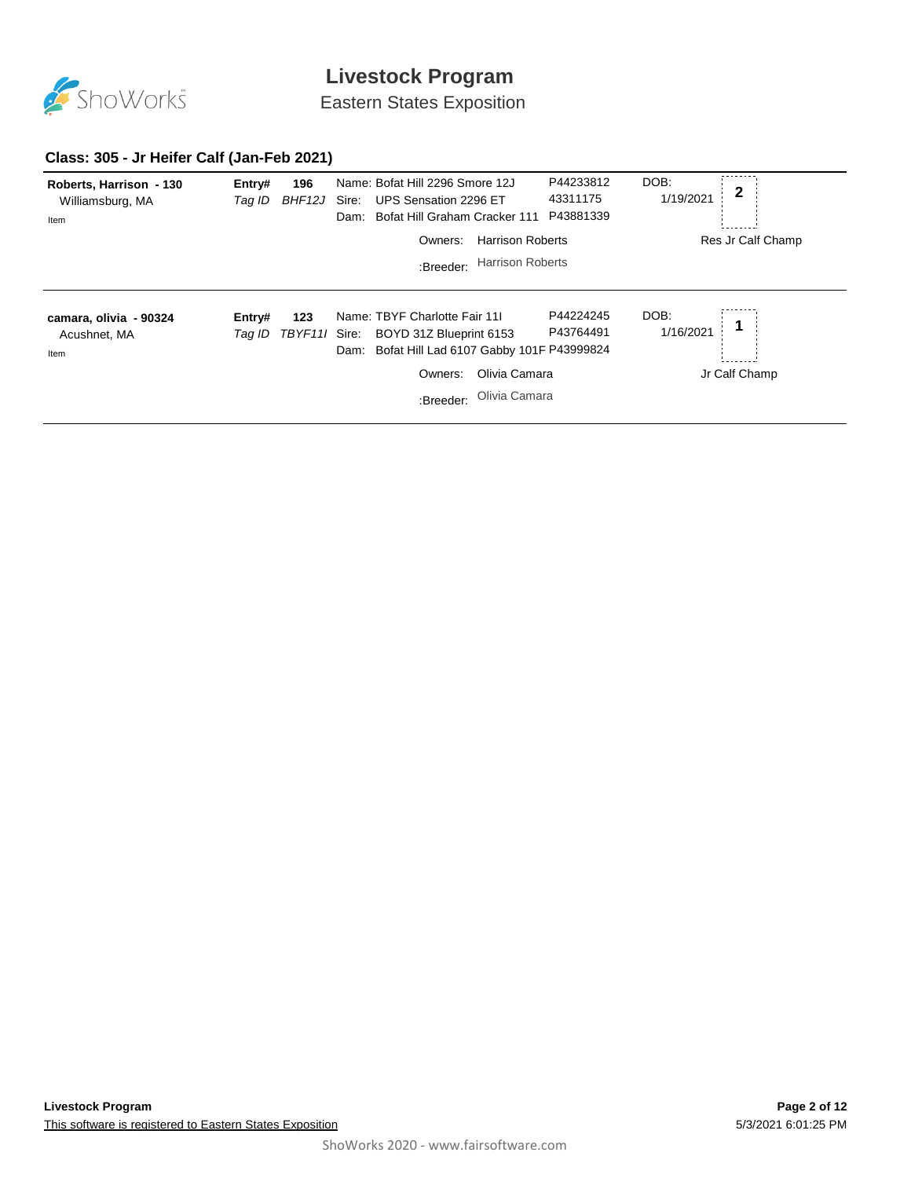

Eastern States Exposition

#### **Class: 305 - Jr Heifer Calf (Jan-Feb 2021)**

| Roberts, Harrison - 130<br>Williamsburg, MA<br>Item | Entry#<br>Tag ID | 196<br>BHF12J        | Name: Bofat Hill 2296 Smore 12J<br>Sire:<br>UPS Sensation 2296 ET<br>Bofat Hill Graham Cracker 111<br>Dam:  |                         | P44233812<br>43311175<br>P43881339 | DOB:<br>1/19/2021 | $\mathbf{2}$      |
|-----------------------------------------------------|------------------|----------------------|-------------------------------------------------------------------------------------------------------------|-------------------------|------------------------------------|-------------------|-------------------|
|                                                     |                  |                      | Owners:                                                                                                     | <b>Harrison Roberts</b> |                                    |                   | Res Jr Calf Champ |
|                                                     |                  |                      | :Breeder:                                                                                                   | <b>Harrison Roberts</b> |                                    |                   |                   |
| camara, olivia - 90324<br>Acushnet, MA<br>Item      | Entry#<br>Taq ID | 123<br>TBYF11I Sire: | Name: TBYF Charlotte Fair 11<br>BOYD 31Z Blueprint 6153<br>Bofat Hill Lad 6107 Gabby 101F P43999824<br>Dam: |                         | P44224245<br>P43764491             | DOB:<br>1/16/2021 |                   |
|                                                     |                  |                      | Owners:                                                                                                     | Olivia Camara           |                                    |                   | Jr Calf Champ     |
|                                                     |                  |                      | :Breeder:                                                                                                   | Olivia Camara           |                                    |                   |                   |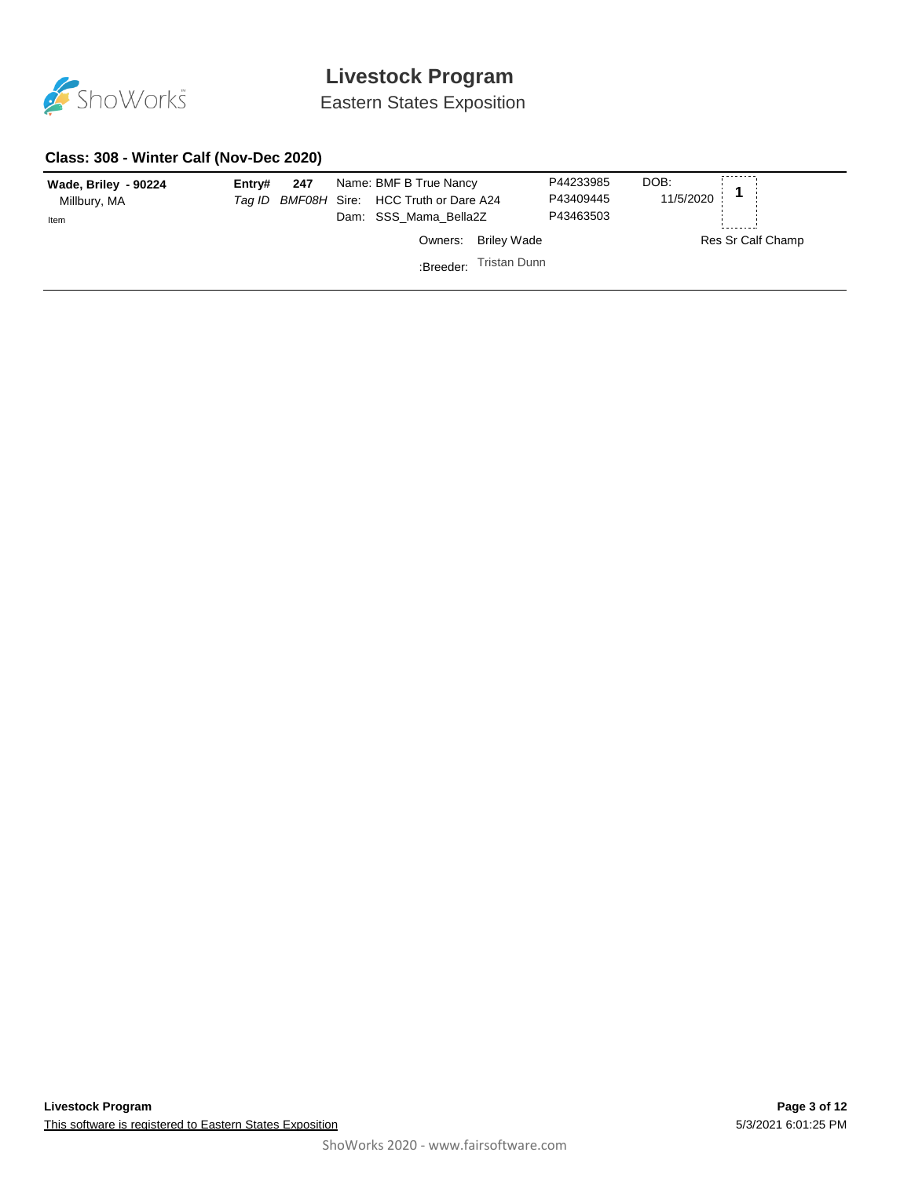

Eastern States Exposition

#### **Class: 308 - Winter Calf (Nov-Dec 2020)**

| Wade, Briley - 90224<br>Millbury, MA<br>Item | Entrv# | 247 | Name: BMF B True Nancy<br>Tag ID BMF08H Sire: HCC Truth or Dare A24<br>Dam: SSS Mama Bella2Z |                        | P44233985<br>P43409445<br>P43463503 | DOB:<br>11/5/2020 |                   |
|----------------------------------------------|--------|-----|----------------------------------------------------------------------------------------------|------------------------|-------------------------------------|-------------------|-------------------|
|                                              |        |     |                                                                                              | Owners: Briley Wade    |                                     |                   | Res Sr Calf Champ |
|                                              |        |     |                                                                                              | :Breeder: Tristan Dunn |                                     |                   |                   |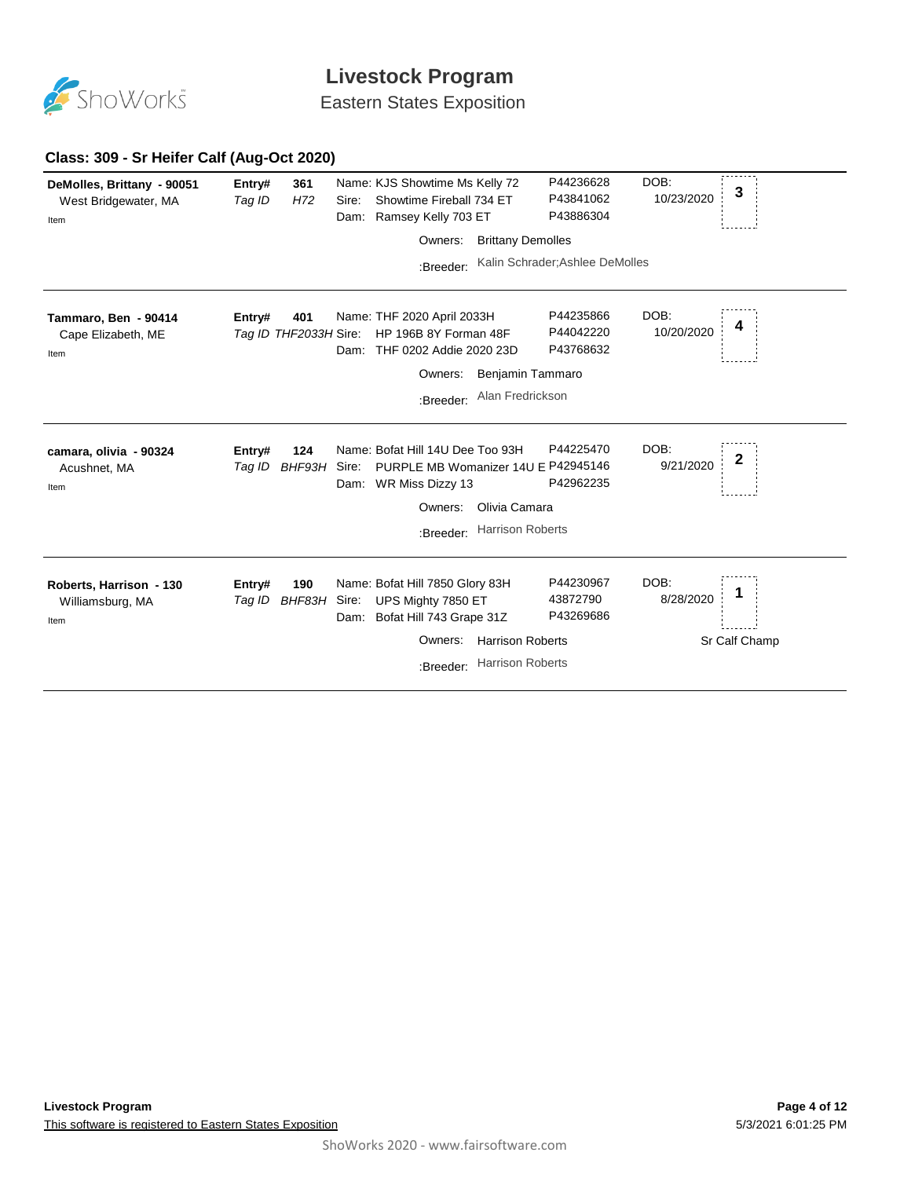

Eastern States Exposition

#### **Class: 309 - Sr Heifer Calf (Aug-Oct 2020)**

| DeMolles, Brittany - 90051<br>West Bridgewater, MA<br>Item | Entry#<br>Tag ID | 361<br>H72                   | Sire:<br>Dam: | Name: KJS Showtime Ms Kelly 72<br>Showtime Fireball 734 ET<br>Ramsey Kelly 703 ET<br>Owners:                             | <b>Brittany Demolles</b>                           | P44236628<br>P43841062<br>P43886304 | DOB:<br>10/23/2020 | 3             |
|------------------------------------------------------------|------------------|------------------------------|---------------|--------------------------------------------------------------------------------------------------------------------------|----------------------------------------------------|-------------------------------------|--------------------|---------------|
|                                                            |                  |                              |               | :Breeder:                                                                                                                |                                                    | Kalin Schrader; Ashlee DeMolles     |                    |               |
|                                                            |                  |                              |               |                                                                                                                          |                                                    |                                     |                    |               |
| Tammaro, Ben - 90414<br>Cape Elizabeth, ME<br>Item         | Entry#           | 401<br>Tag ID THF2033H Sire: | Dam:          | Name: THF 2020 April 2033H<br>HP 196B 8Y Forman 48F<br>THF 0202 Addie 2020 23D<br>Owners:                                | Benjamin Tammaro                                   | P44235866<br>P44042220<br>P43768632 | DOB:<br>10/20/2020 |               |
|                                                            |                  |                              |               | :Breeder:                                                                                                                | Alan Fredrickson                                   |                                     |                    |               |
| camara, olivia - 90324<br>Acushnet, MA<br>Item             | Entry#<br>Tag ID | 124<br>BHF93H                | Sire:         | Name: Bofat Hill 14U Dee Too 93H<br>PURPLE MB Womanizer 14U E P42945146<br>Dam: WR Miss Dizzy 13<br>Owners:<br>:Breeder: | Olivia Camara<br><b>Harrison Roberts</b>           | P44225470<br>P42962235              | DOB:<br>9/21/2020  | $\mathbf{2}$  |
| Roberts, Harrison - 130<br>Williamsburg, MA<br>Item        | Entry#<br>Tag ID | 190<br>BHF83H Sire:          | Dam:          | Name: Bofat Hill 7850 Glory 83H<br>UPS Mighty 7850 ET<br>Bofat Hill 743 Grape 31Z<br>Owners:<br>:Breeder:                | <b>Harrison Roberts</b><br><b>Harrison Roberts</b> | P44230967<br>43872790<br>P43269686  | DOB:<br>8/28/2020  | Sr Calf Champ |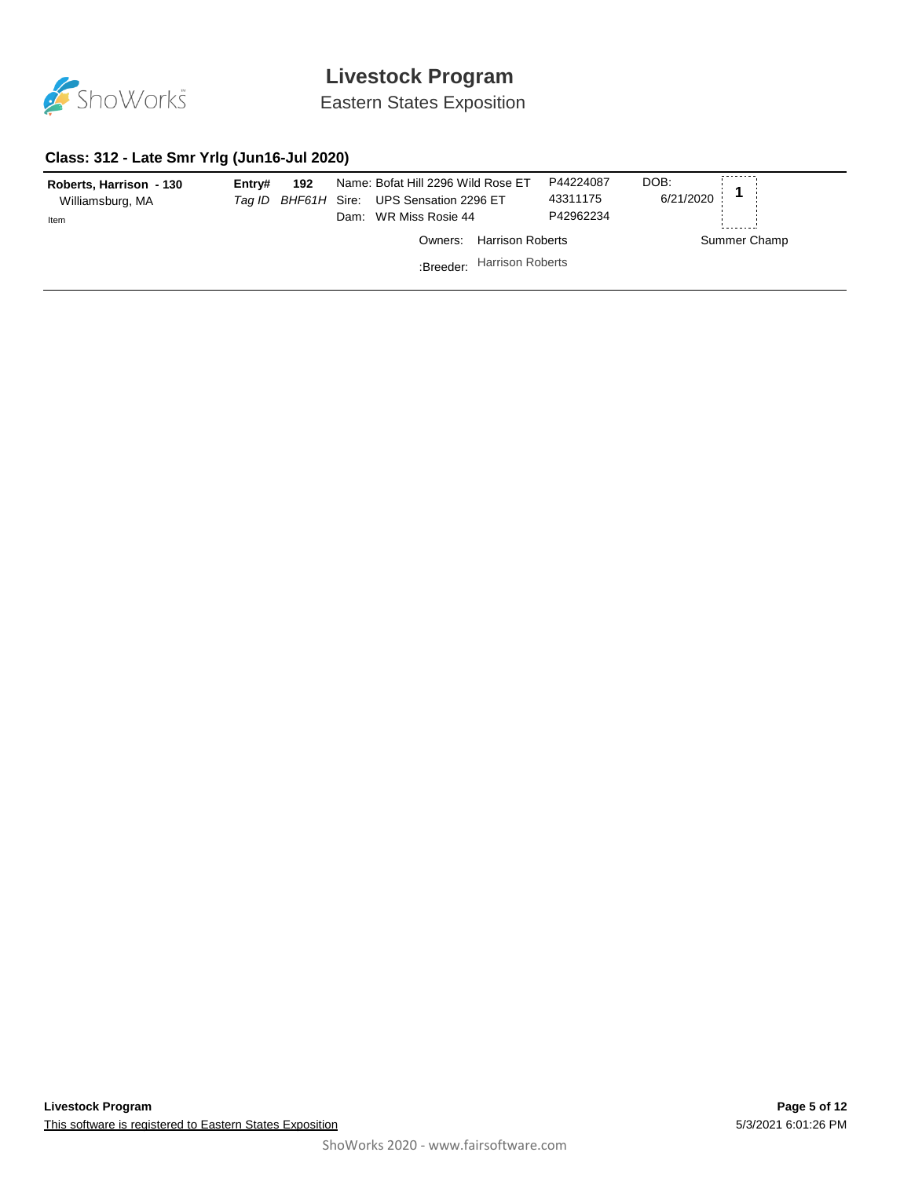

Eastern States Exposition

#### **Class: 312 - Late Smr Yrlg (Jun16-Jul 2020)**

| Roberts, Harrison - 130<br>Williamsburg, MA<br>Item | Entrv# | 192<br>Tag ID BHF61H Sire: | Name: Bofat Hill 2296 Wild Rose ET<br>UPS Sensation 2296 ET<br>WR Miss Rosie 44<br>Dam: |                            | P44224087<br>43311175<br>P42962234 | DOB:<br>6/21/2020 |              |
|-----------------------------------------------------|--------|----------------------------|-----------------------------------------------------------------------------------------|----------------------------|------------------------------------|-------------------|--------------|
|                                                     |        |                            | Owners:                                                                                 | <b>Harrison Roberts</b>    |                                    |                   | Summer Champ |
|                                                     |        |                            |                                                                                         | :Breeder: Harrison Roberts |                                    |                   |              |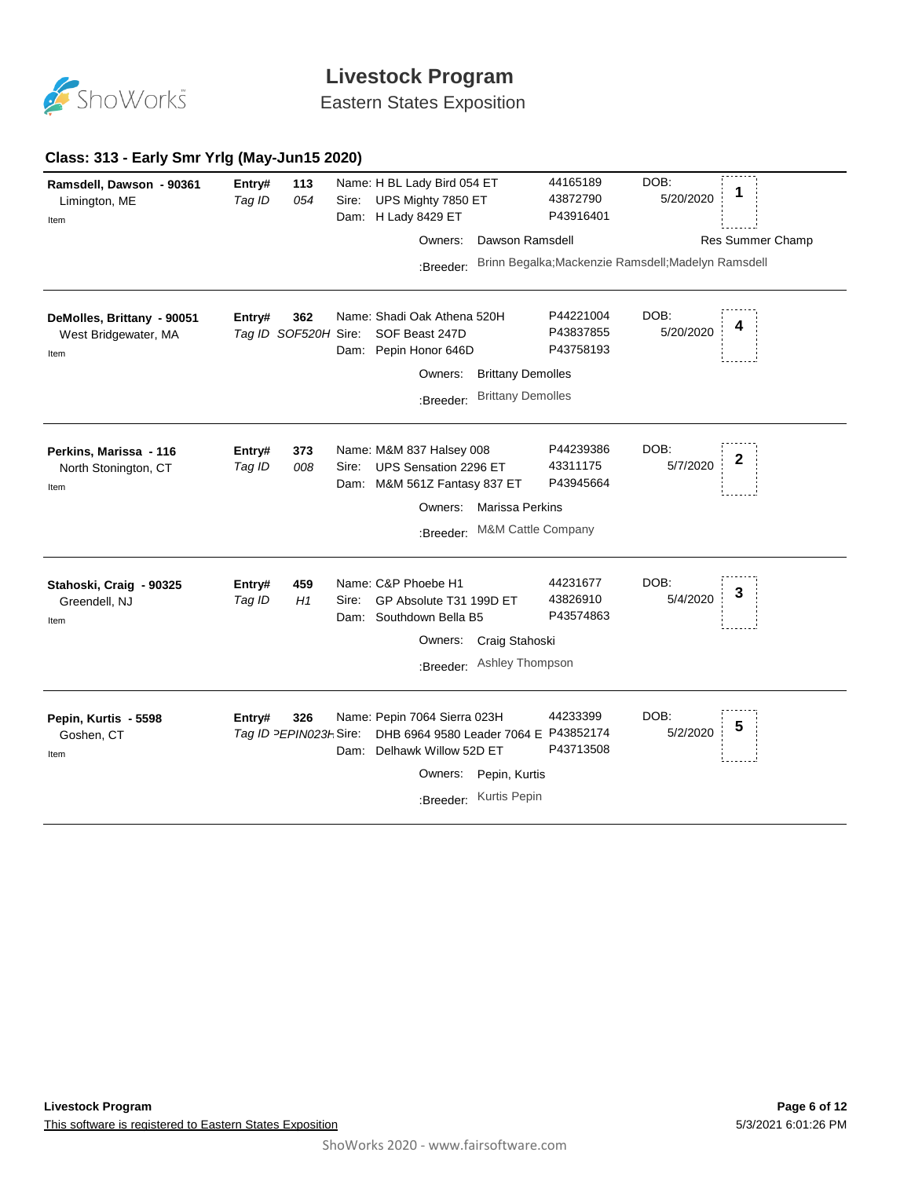

Eastern States Exposition

#### **Class: 313 - Early Smr Yrlg (May-Jun15 2020)**

| Ramsdell, Dawson - 90361<br>Limington, ME<br>Item          | Entry#<br>Tag ID | 113<br>054                    | Sire: | Name: H BL Lady Bird 054 ET<br>UPS Mighty 7850 ET<br>Dam: H Lady 8429 ET<br>Owners:<br>:Breeder:                       | Dawson Ramsdell                                      | 44165189<br>43872790<br>P43916401   | DOB:<br>5/20/2020<br>Brinn Begalka; Mackenzie Ramsdell; Madelyn Ramsdell | 1<br><b>Res Summer Champ</b> |
|------------------------------------------------------------|------------------|-------------------------------|-------|------------------------------------------------------------------------------------------------------------------------|------------------------------------------------------|-------------------------------------|--------------------------------------------------------------------------|------------------------------|
| DeMolles, Brittany - 90051<br>West Bridgewater, MA<br>Item | Entry#           | 362<br>Tag ID SOF520H Sire:   | Dam:  | Name: Shadi Oak Athena 520H<br>SOF Beast 247D<br>Pepin Honor 646D<br>Owners:<br>:Breeder:                              | <b>Brittany Demolles</b><br><b>Brittany Demolles</b> | P44221004<br>P43837855<br>P43758193 | DOB:<br>5/20/2020                                                        | 4                            |
| Perkins, Marissa - 116<br>North Stonington, CT<br>Item     | Entry#<br>Tag ID | 373<br>008                    | Sire: | Name: M&M 837 Halsey 008<br>UPS Sensation 2296 ET<br>Dam: M&M 561Z Fantasy 837 ET<br>Owners:<br>:Breeder:              | <b>Marissa Perkins</b><br>M&M Cattle Company         | P44239386<br>43311175<br>P43945664  | DOB:<br>5/7/2020                                                         | $\mathbf 2$                  |
| Stahoski, Craig - 90325<br>Greendell, NJ<br>Item           | Entry#<br>Tag ID | 459<br>H1                     | Sire: | Name: C&P Phoebe H1<br>GP Absolute T31 199D ET<br>Dam: Southdown Bella B5<br>Owners:                                   | Craig Stahoski<br>:Breeder: Ashley Thompson          | 44231677<br>43826910<br>P43574863   | DOB:<br>5/4/2020                                                         | 3                            |
| Pepin, Kurtis - 5598<br>Goshen, CT<br>Item                 | Entry#           | 326<br>Tag ID PEPIN023F Sire: | Dam:  | Name: Pepin 7064 Sierra 023H<br>DHB 6964 9580 Leader 7064 E P43852174<br>Delhawk Willow 52D ET<br>Owners:<br>:Breeder: | Pepin, Kurtis<br><b>Kurtis Pepin</b>                 | 44233399<br>P43713508               | DOB:<br>5/2/2020                                                         | 5                            |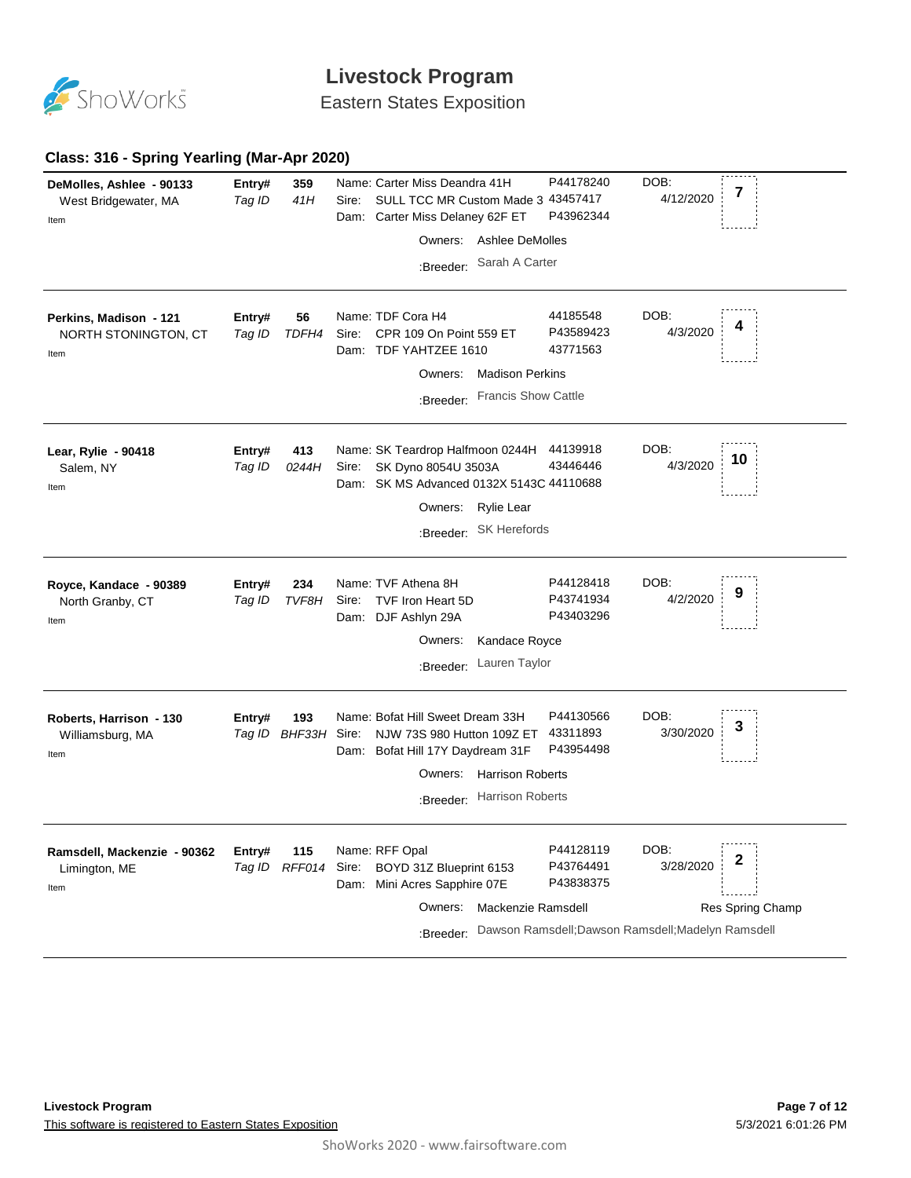

Eastern States Exposition

#### **Class: 316 - Spring Yearling (Mar-Apr 2020)**

| DeMolles, Ashlee - 90133<br>West Bridgewater, MA<br>Item | Entry#<br>Tag ID | 359<br>41H                 | Name: Carter Miss Deandra 41H<br>Sire:<br>SULL TCC MR Custom Made 3 43457417<br>Dam: Carter Miss Delaney 62F ET<br>Owners: Ashlee DeMolles | P44178240<br>P43962344              | DOB:<br>7<br>4/12/2020                             |
|----------------------------------------------------------|------------------|----------------------------|--------------------------------------------------------------------------------------------------------------------------------------------|-------------------------------------|----------------------------------------------------|
|                                                          |                  |                            | Sarah A Carter<br>:Breeder:                                                                                                                |                                     |                                                    |
| Perkins, Madison - 121<br>NORTH STONINGTON, CT<br>Item   | Entry#<br>Tag ID | 56<br>TDFH4                | Name: TDF Cora H4<br>CPR 109 On Point 559 ET<br>Sire:<br>Dam: TDF YAHTZEE 1610<br><b>Madison Perkins</b><br>Owners:                        | 44185548<br>P43589423<br>43771563   | DOB:<br>4<br>4/3/2020                              |
|                                                          |                  |                            | <b>Francis Show Cattle</b><br>:Breeder:                                                                                                    |                                     |                                                    |
| Lear, Rylie - 90418<br>Salem, NY<br>Item                 | Entry#<br>Tag ID | 413<br>0244H               | Name: SK Teardrop Halfmoon 0244H<br>SK Dyno 8054U 3503A<br>Sire:<br>Dam: SK MS Advanced 0132X 5143C 44110688                               | 44139918<br>43446446                | DOB:<br>10<br>4/3/2020                             |
|                                                          |                  |                            | <b>Rylie Lear</b><br>Owners:<br><b>SK Herefords</b><br>:Breeder:                                                                           |                                     |                                                    |
| Royce, Kandace - 90389<br>North Granby, CT<br>Item       | Entry#<br>Tag ID | 234<br>TVF8H               | Name: TVF Athena 8H<br>Sire:<br>TVF Iron Heart 5D<br>Dam: DJF Ashlyn 29A<br>Owners:<br>Kandace Royce<br>Lauren Taylor                      | P44128418<br>P43741934<br>P43403296 | DOB:<br>9<br>4/2/2020                              |
|                                                          |                  |                            | :Breeder:                                                                                                                                  |                                     |                                                    |
| Roberts, Harrison - 130<br>Williamsburg, MA<br>Item      | Entry#           | 193<br>Tag ID BHF33H Sire: | Name: Bofat Hill Sweet Dream 33H<br>NJW 73S 980 Hutton 109Z ET<br>Dam: Bofat Hill 17Y Daydream 31F                                         | P44130566<br>43311893<br>P43954498  | DOB:<br>3<br>3/30/2020                             |
|                                                          |                  |                            | <b>Harrison Roberts</b><br>Owners:<br><b>Harrison Roberts</b><br>:Breeder:                                                                 |                                     |                                                    |
|                                                          |                  |                            |                                                                                                                                            |                                     |                                                    |
| Ramsdell, Mackenzie - 90362<br>Limington, ME<br>Item     | Entry#           | 115<br>Tag ID RFF014 Sire: | Name: RFF Opal<br>BOYD 31Z Blueprint 6153<br>Dam: Mini Acres Sapphire 07E                                                                  | P44128119<br>P43764491<br>P43838375 | DOB:<br>2<br>3/28/2020                             |
|                                                          |                  |                            | Owners:<br>Mackenzie Ramsdell                                                                                                              |                                     | Res Spring Champ                                   |
|                                                          |                  |                            | :Breeder:                                                                                                                                  |                                     | Dawson Ramsdell; Dawson Ramsdell; Madelyn Ramsdell |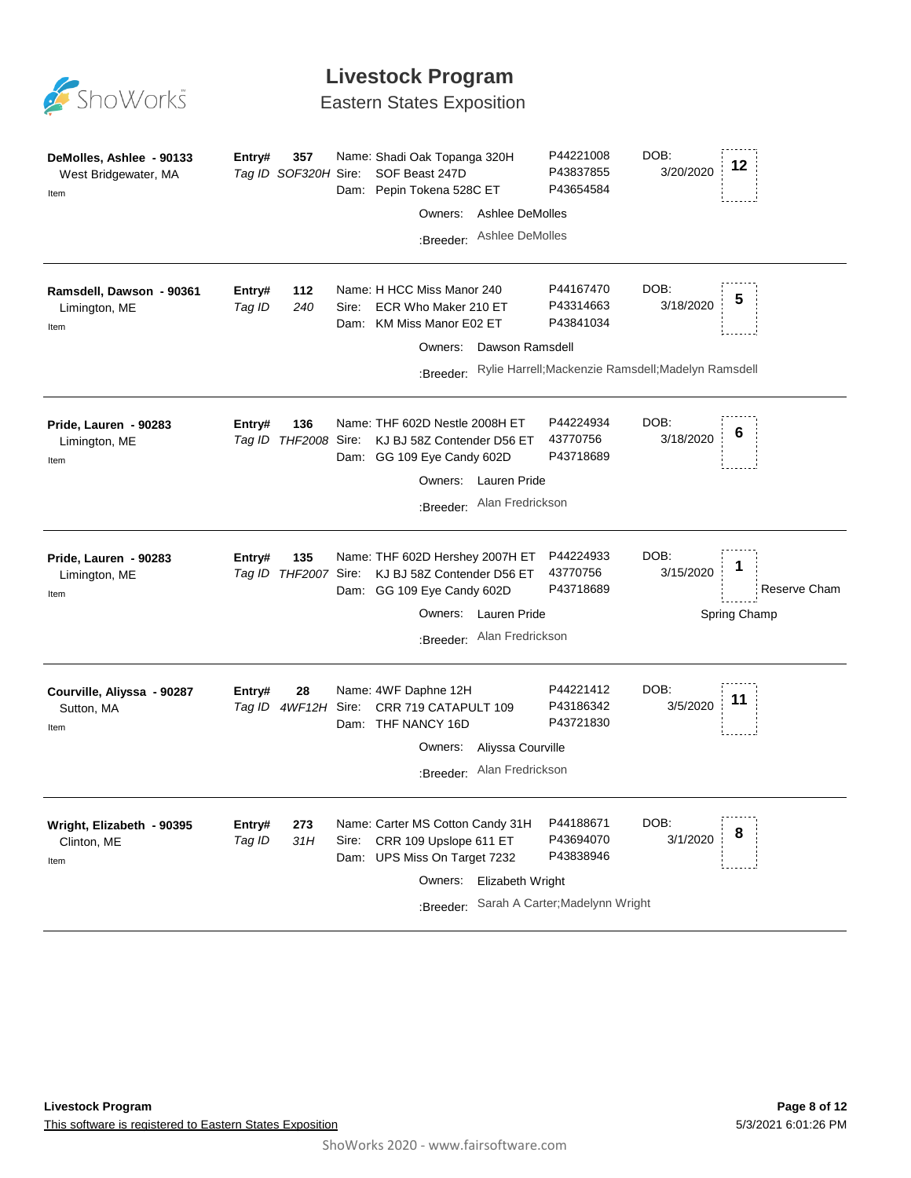

Eastern States Exposition

| DeMolles, Ashlee - 90133<br>West Bridgewater, MA<br>Item | Entry#           | 357<br>Tag ID SOF320H Sire: |       | Name: Shadi Oak Topanga 320H<br>SOF Beast 247D<br>Dam: Pepin Tokena 528C ET<br>Owners:<br>:Breeder:                      | Ashlee DeMolles<br>Ashlee DeMolles                 | P44221008<br>P43837855<br>P43654584                                                        | DOB:<br>3/20/2020 | 12                                |
|----------------------------------------------------------|------------------|-----------------------------|-------|--------------------------------------------------------------------------------------------------------------------------|----------------------------------------------------|--------------------------------------------------------------------------------------------|-------------------|-----------------------------------|
| Ramsdell, Dawson - 90361<br>Limington, ME<br>Item        | Entry#<br>Tag ID | 112<br>240                  | Sire: | Name: H HCC Miss Manor 240<br>ECR Who Maker 210 ET<br>Dam: KM Miss Manor E02 ET<br>Owners:<br>:Breeder:                  | Dawson Ramsdell                                    | P44167470<br>P43314663<br>P43841034<br>Rylie Harrell; Mackenzie Ramsdell; Madelyn Ramsdell | DOB:<br>3/18/2020 | 5                                 |
| Pride, Lauren - 90283<br>Limington, ME<br>Item           | Entry#           | 136<br>Tag ID THF2008 Sire: |       | Name: THF 602D Nestle 2008H ET<br>KJ BJ 58Z Contender D56 ET<br>Dam: GG 109 Eye Candy 602D<br>Owners:<br>:Breeder:       | <b>Lauren Pride</b><br>Alan Fredrickson            | P44224934<br>43770756<br>P43718689                                                         | DOB:<br>3/18/2020 | 6                                 |
| Pride, Lauren - 90283<br>Limington, ME<br>Item           | Entry#           | 135<br>Tag ID THF2007 Sire: |       | Name: THF 602D Hershey 2007H ET<br>KJ BJ 58Z Contender D56 ET<br>Dam: GG 109 Eye Candy 602D                              | Owners: Lauren Pride<br>:Breeder: Alan Fredrickson | P44224933<br>43770756<br>P43718689                                                         | DOB:<br>3/15/2020 | 1<br>Reserve Cham<br>Spring Champ |
| Courville, Aliyssa - 90287<br>Sutton, MA<br>Item         | Entry#           | 28<br>Tag ID 4WF12H Sire:   |       | Name: 4WF Daphne 12H<br>CRR 719 CATAPULT 109<br>Dam: THF NANCY 16D<br>Owners:                                            | Aliyssa Courville<br>:Breeder: Alan Fredrickson    | P44221412<br>P43186342<br>P43721830                                                        | DOB:<br>3/5/2020  | 11                                |
| Wright, Elizabeth - 90395<br>Clinton, ME<br>Item         | Entry#<br>Tag ID | 273<br>31H                  |       | Name: Carter MS Cotton Candy 31H<br>Sire: CRR 109 Upslope 611 ET<br>Dam: UPS Miss On Target 7232<br>Owners:<br>:Breeder: | Elizabeth Wright                                   | P44188671<br>P43694070<br>P43838946<br>Sarah A Carter; Madelynn Wright                     | DOB:<br>3/1/2020  | 8                                 |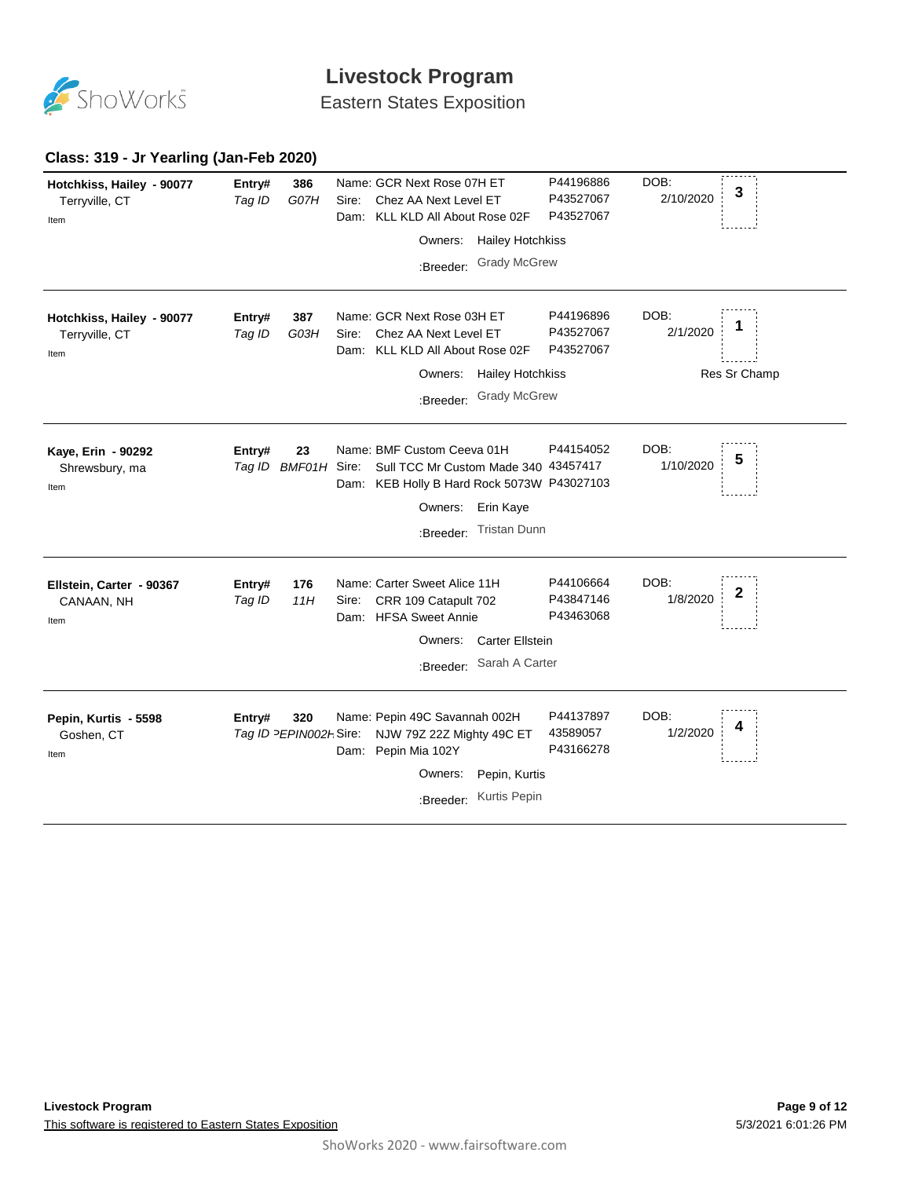

Eastern States Exposition

#### **Class: 319 - Jr Yearling (Jan-Feb 2020)**

| Hotchkiss, Hailey - 90077<br>Terryville, CT<br>Item | Entry#<br>Tag ID                 | 386<br>G07H | Sire:         | Name: GCR Next Rose 07H ET<br>Chez AA Next Level ET<br>Dam: KLL KLD All About Rose 02F<br>Owners: Hailey Hotchkiss<br><b>Grady McGrew</b><br>:Breeder:                       | P44196886<br>P43527067<br>P43527067 | DOB:<br>3<br>2/10/2020                |  |
|-----------------------------------------------------|----------------------------------|-------------|---------------|------------------------------------------------------------------------------------------------------------------------------------------------------------------------------|-------------------------------------|---------------------------------------|--|
| Hotchkiss, Hailey - 90077<br>Terryville, CT<br>Item | Entry#<br>Tag ID                 | 387<br>GO3H | Sire:<br>Dam: | Name: GCR Next Rose 03H ET<br>Chez AA Next Level ET<br>KLL KLD All About Rose 02F<br>Owners: Hailey Hotchkiss<br><b>Grady McGrew</b><br>:Breeder:                            | P44196896<br>P43527067<br>P43527067 | DOB:<br>1<br>2/1/2020<br>Res Sr Champ |  |
| Kaye, Erin - 90292<br>Shrewsbury, ma<br>Item        | Entry#<br>Tag ID BMF01H Sire:    | 23          |               | Name: BMF Custom Ceeva 01H<br>Sull TCC Mr Custom Made 340 43457417<br>Dam: KEB Holly B Hard Rock 5073W P43027103<br>Erin Kaye<br>Owners:<br><b>Tristan Dunn</b><br>:Breeder: | P44154052                           | DOB:<br>5<br>1/10/2020                |  |
| Ellstein, Carter - 90367<br>CANAAN, NH<br>Item      | Entry#<br>Tag ID                 | 176<br>11H  | Sire:         | Name: Carter Sweet Alice 11H<br>CRR 109 Catapult 702<br>Dam: HFSA Sweet Annie<br><b>Carter Ellstein</b><br>Owners:<br>:Breeder: Sarah A Carter                               | P44106664<br>P43847146<br>P43463068 | DOB:<br>2<br>1/8/2020                 |  |
| Pepin, Kurtis - 5598<br>Goshen, CT<br>Item          | Entry#<br>Tag ID PEPIN0021 Sire: | 320         |               | Name: Pepin 49C Savannah 002H<br>NJW 79Z 22Z Mighty 49C ET<br>Dam: Pepin Mia 102Y<br>Pepin, Kurtis<br>Owners:<br>Kurtis Pepin<br>:Breeder:                                   | P44137897<br>43589057<br>P43166278  | DOB:<br>4<br>1/2/2020                 |  |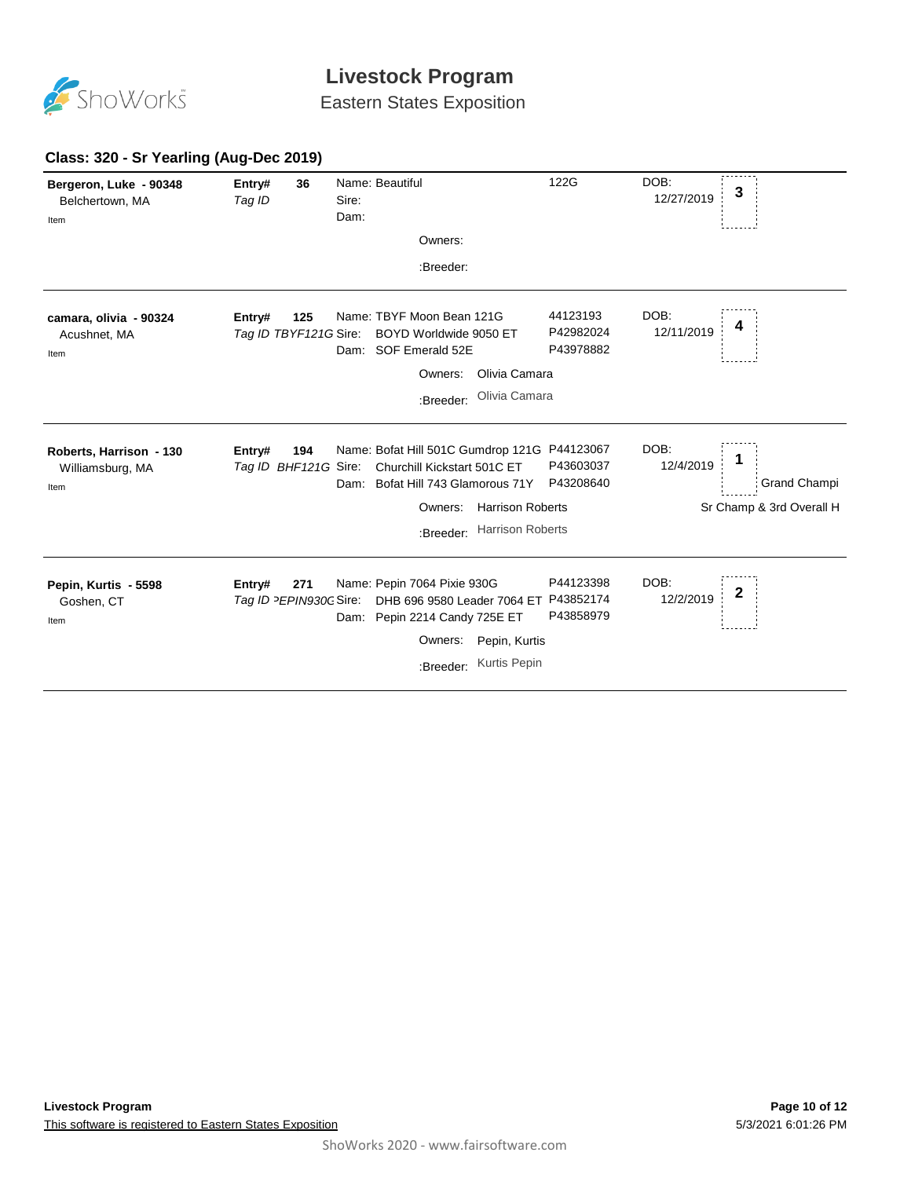

Eastern States Exposition

|        |     | Owners:                                                                 |                                                                                               |                                                                                                                                                                                                                                                                                                                                               |                          |
|--------|-----|-------------------------------------------------------------------------|-----------------------------------------------------------------------------------------------|-----------------------------------------------------------------------------------------------------------------------------------------------------------------------------------------------------------------------------------------------------------------------------------------------------------------------------------------------|--------------------------|
|        |     | :Breeder:                                                               |                                                                                               |                                                                                                                                                                                                                                                                                                                                               |                          |
| Entry# | 125 |                                                                         | 44123193<br>P42982024<br>P43978882                                                            | DOB:<br>12/11/2019                                                                                                                                                                                                                                                                                                                            | 4                        |
|        |     | Owners:                                                                 |                                                                                               |                                                                                                                                                                                                                                                                                                                                               |                          |
|        |     | :Breeder:                                                               |                                                                                               |                                                                                                                                                                                                                                                                                                                                               |                          |
| Entry# | 194 |                                                                         | P43603037<br>P43208640                                                                        | DOB:<br>12/4/2019                                                                                                                                                                                                                                                                                                                             | 1<br><b>Grand Champi</b> |
|        |     | Owners:                                                                 |                                                                                               |                                                                                                                                                                                                                                                                                                                                               | Sr Champ & 3rd Overall H |
|        |     | :Breeder:                                                               |                                                                                               |                                                                                                                                                                                                                                                                                                                                               |                          |
| Entry# | 271 | Owners:                                                                 | P44123398<br>P43858979                                                                        | DOB:<br>12/2/2019                                                                                                                                                                                                                                                                                                                             | 2                        |
|        |     | Tag ID TBYF121G Sire:<br>Tag ID BHF121G Sire:<br>Tag ID PEPIN930C Sire: | Name: TBYF Moon Bean 121G<br>Dam: SOF Emerald 52E<br>Name: Pepin 7064 Pixie 930G<br>:Breeder: | BOYD Worldwide 9050 ET<br>Olivia Camara<br>Olivia Camara<br>Name: Bofat Hill 501C Gumdrop 121G P44123067<br>Churchill Kickstart 501C ET<br>Dam: Bofat Hill 743 Glamorous 71Y<br><b>Harrison Roberts</b><br><b>Harrison Roberts</b><br>DHB 696 9580 Leader 7064 ET P43852174<br>Dam: Pepin 2214 Candy 725E ET<br>Pepin, Kurtis<br>Kurtis Pepin |                          |

#### **Class: 320 - Sr Yearling (Aug-Dec 2019)**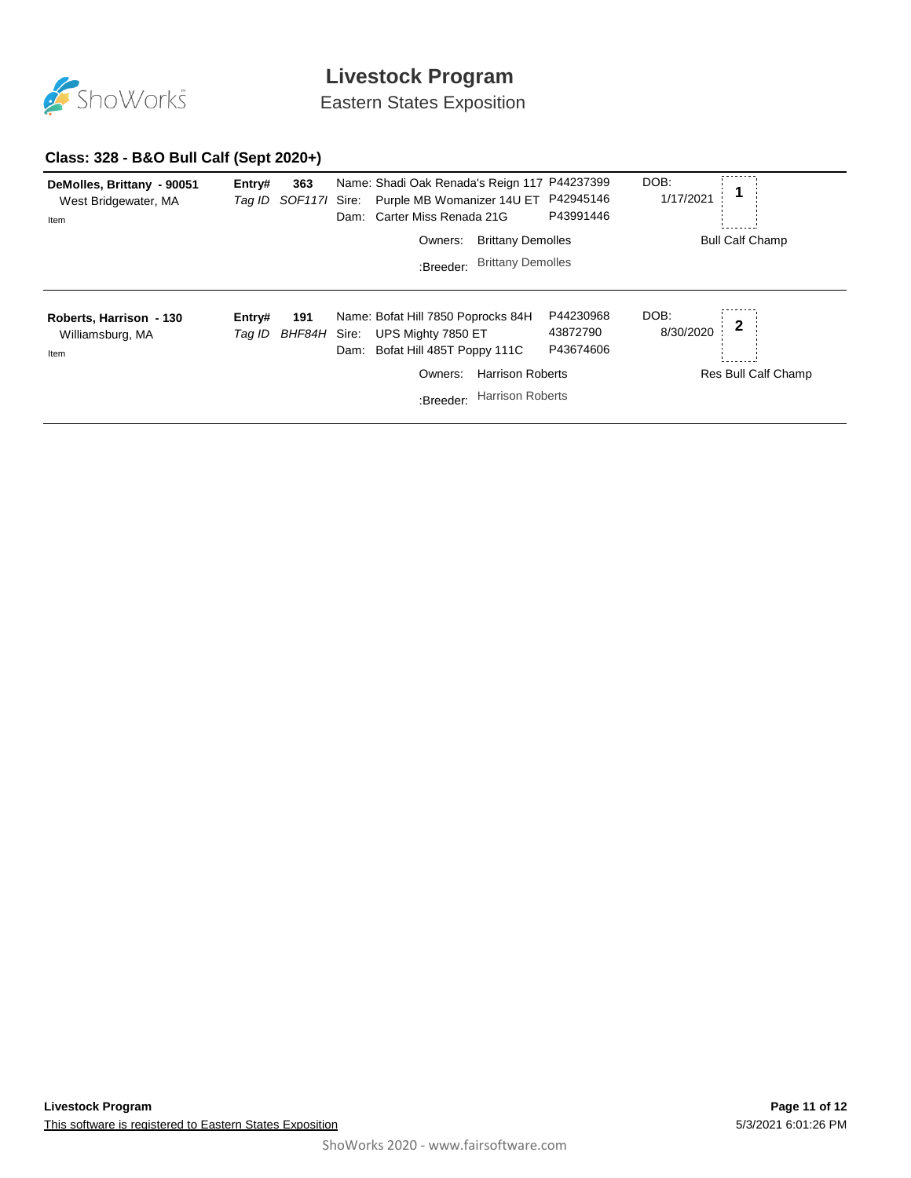

Eastern States Exposition

#### **Class: 328 - B&O Bull Calf (Sept 2020+)**

| DeMolles, Brittany - 90051<br>West Bridgewater, MA<br>Item | Entry#           | 363                 | Name: Shadi Oak Renada's Reign 117 P44237399<br>Tag ID SOF117I Sire: Purple MB Womanizer 14U ET P42945146<br>Dam: Carter Miss Renada 21G |                                                    | P43991446                          | DOB:<br>1/17/2021 |                          |
|------------------------------------------------------------|------------------|---------------------|------------------------------------------------------------------------------------------------------------------------------------------|----------------------------------------------------|------------------------------------|-------------------|--------------------------|
|                                                            |                  |                     | Owners:                                                                                                                                  | <b>Brittany Demolles</b>                           |                                    |                   | <b>Bull Calf Champ</b>   |
|                                                            |                  |                     | :Breeder:                                                                                                                                | <b>Brittany Demolles</b>                           |                                    |                   |                          |
| Roberts, Harrison - 130<br>Williamsburg, MA<br>Item        | Entry#<br>Taq ID | 191<br>BHF84H Sire: | Name: Bofat Hill 7850 Poprocks 84H<br>UPS Mighty 7850 ET<br>Bofat Hill 485T Poppy 111C<br>Dam:<br>Owners:<br>:Breeder:                   | <b>Harrison Roberts</b><br><b>Harrison Roberts</b> | P44230968<br>43872790<br>P43674606 | DOB:<br>8/30/2020 | 2<br>Res Bull Calf Champ |